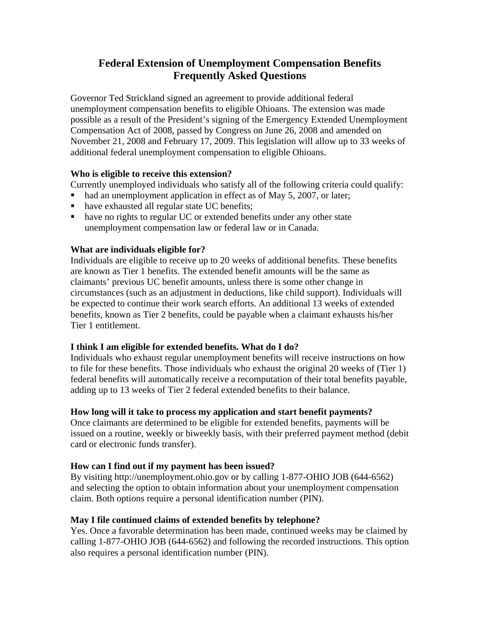# **Federal Extension of Unemployment Compensation Benefits Frequently Asked Questions**

Governor Ted Strickland signed an agreement to provide additional federal unemployment compensation benefits to eligible Ohioans. The extension was made possible as a result of the President's signing of the Emergency Extended Unemployment Compensation Act of 2008, passed by Congress on June 26, 2008 and amended on November 21, 2008 and February 17, 2009. This legislation will allow up to 33 weeks of additional federal unemployment compensation to eligible Ohioans.

#### **Who is eligible to receive this extension?**

Currently unemployed individuals who satisfy all of the following criteria could qualify:

- $\blacksquare$  had an unemployment application in effect as of May 5, 2007, or later;
- have exhausted all regular state UC benefits;
- have no rights to regular UC or extended benefits under any other state unemployment compensation law or federal law or in Canada.

## **What are individuals eligible for?**

Individuals are eligible to receive up to 20 weeks of additional benefits. These benefits are known as Tier 1 benefits. The extended benefit amounts will be the same as claimants' previous UC benefit amounts, unless there is some other change in circumstances (such as an adjustment in deductions, like child support). Individuals will be expected to continue their work search efforts. An additional 13 weeks of extended benefits, known as Tier 2 benefits, could be payable when a claimant exhausts his/her Tier 1 entitlement.

## **I think I am eligible for extended benefits. What do I do?**

Individuals who exhaust regular unemployment benefits will receive instructions on how to file for these benefits. Those individuals who exhaust the original 20 weeks of (Tier 1) federal benefits will automatically receive a recomputation of their total benefits payable, adding up to 13 weeks of Tier 2 federal extended benefits to their balance.

## **How long will it take to process my application and start benefit payments?**

Once claimants are determined to be eligible for extended benefits, payments will be issued on a routine, weekly or biweekly basis, with their preferred payment method (debit card or electronic funds transfer).

## **How can I find out if my payment has been issued?**

By visiting http://unemployment.ohio.gov or by calling 1-877-OHIO JOB (644-6562) and selecting the option to obtain information about your unemployment compensation claim. Both options require a personal identification number (PIN).

## **May I file continued claims of extended benefits by telephone?**

Yes. Once a favorable determination has been made, continued weeks may be claimed by calling 1-877-OHIO JOB (644-6562) and following the recorded instructions. This option also requires a personal identification number (PIN).